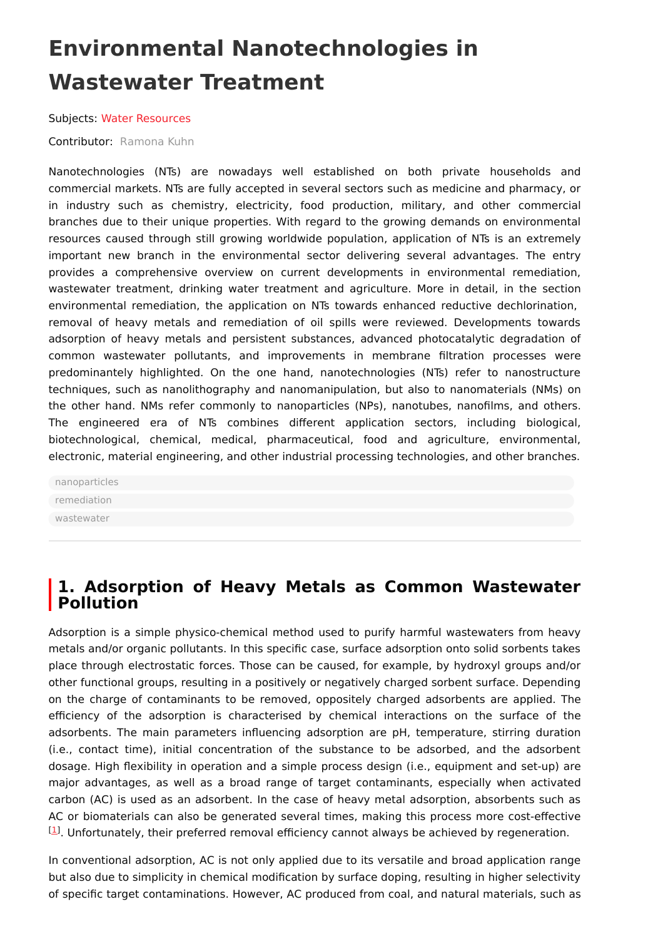# **Environmental Nanotechnologies in Wastewater Treatment**

Subjects: Water [Resources](https://encyclopedia.pub/entry/subject/219)

Contributor: [Ramona](https://sciprofiles.com/profile/1566091) Kuhn

Nanotechnologies (NTs) are nowadays well established on both private households and commercial markets. NTs are fully accepted in several sectors such as medicine and pharmacy, or in industry such as chemistry, electricity, food production, military, and other commercial branches due to their unique properties. With regard to the growing demands on environmental resources caused through still growing worldwide population, application of NTs is an extremely important new branch in the environmental sector delivering several advantages. The entry provides a comprehensive overview on current developments in environmental remediation, wastewater treatment, drinking water treatment and agriculture. More in detail, in the section environmental remediation, the application on NTs towards enhanced reductive dechlorination, removal of heavy metals and remediation of oil spills were reviewed. Developments towards adsorption of heavy metals and persistent substances, advanced photocatalytic degradation of common wastewater pollutants, and improvements in membrane filtration processes were predominantely highlighted. On the one hand, nanotechnologies (NTs) refer to nanostructure techniques, such as nanolithography and nanomanipulation, but also to nanomaterials (NMs) on the other hand. NMs refer commonly to nanoparticles (NPs), nanotubes, nanofilms, and others. The engineered era of NTs combines different application sectors, including biological, biotechnological, chemical, medical, pharmaceutical, food and agriculture, environmental, electronic, material engineering, and other industrial processing technologies, and other branches.

[nanoparticles](https://encyclopedia.pub/search/?basic_keyword=nanoparticles) [remediation](https://encyclopedia.pub/search/?basic_keyword=remediation) [wastewater](https://encyclopedia.pub/search/?basic_keyword=wastewater)

## **1. Adsorption of Heavy Metals as Common Wastewater Pollution**

Adsorption is a simple physico-chemical method used to purify harmful wastewaters from heavy metals and/or organic pollutants. In this specific case, surface adsorption onto solid sorbents takes place through electrostatic forces. Those can be caused, for example, by hydroxyl groups and/or other functional groups, resulting in a positively or negatively charged sorbent surface. Depending on the charge of contaminants to be removed, oppositely charged adsorbents are applied. The efficiency of the adsorption is characterised by chemical interactions on the surface of the adsorbents. The main parameters influencing adsorption are pH, temperature, stirring duration (i.e., contact time), initial concentration of the substance to be adsorbed, and the adsorbent dosage. High flexibility in operation and a simple process design (i.e., equipment and set-up) are major advantages, as well as a broad range of target contaminants, especially when activated carbon (AC) is used as an adsorbent. In the case of heavy metal adsorption, absorbents such as AC or biomaterials can also be generated several times, making this process more cost-effective  $^{[1]}$  $^{[1]}$  $^{[1]}$ . Unfortunately, their preferred removal efficiency cannot always be achieved by regeneration.

In conventional adsorption, AC is not only applied due to its versatile and broad application range but also due to simplicity in chemical modification by surface doping, resulting in higher selectivity of specific target contaminations. However, AC produced from coal, and natural materials, such as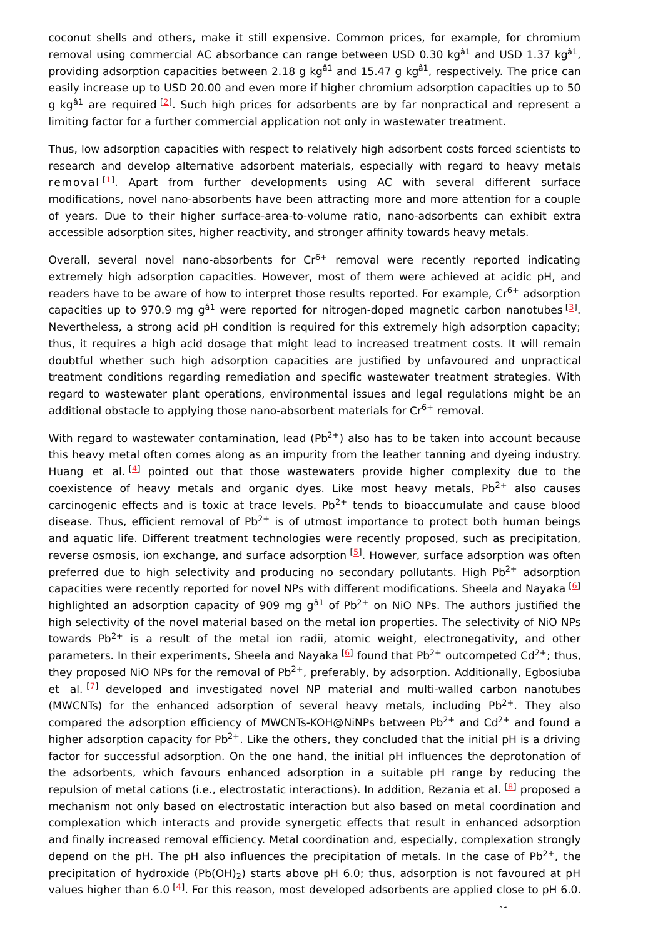coconut shells and others, make it still expensive. Common prices, for example, for chromium removal using commercial AC absorbance can range between USD 0.30 kg<sup>â1</sup> and USD 1.37 kg<sup>â1</sup>, providing adsorption capacities between 2.18 g kg<sup>â1</sup> and 15.47 g kg<sup>â1</sup>, respectively. The price can easily increase up to USD 20.00 and even more if higher chromium adsorption capacities up to 50 g kg<sup>â1</sup> are required <sup>[\[2](#page-11-0)]</sup>. Such high prices for adsorbents are by far nonpractical and represent a limiting factor for a further commercial application not only in wastewater treatment.

Thus, low adsorption capacities with respect to relatively high adsorbent costs forced scientists to research and develop alternative adsorbent materials, especially with regard to heavy metals removal <sup>[\[1](#page-10-0)]</sup>. Apart from further developments using AC with several different surface modifications, novel nano-absorbents have been attracting more and more attention for a couple of years. Due to their higher surface-area-to-volume ratio, nano-adsorbents can exhibit extra accessible adsorption sites, higher reactivity, and stronger affinity towards heavy metals.

Overall, several novel nano-absorbents for  $Cr<sup>6+</sup>$  removal were recently reported indicating extremely high adsorption capacities. However, most of them were achieved at acidic pH, and readers have to be aware of how to interpret those results reported. For example,  $Cr^{6+}$  adsorption capacities up to 970.9 mg g<sup>â1</sup> were reported for nitrogen-doped magnetic carbon nanotubes  $^{[3]}$  $^{[3]}$  $^{[3]}$ . Nevertheless, a strong acid pH condition is required for this extremely high adsorption capacity; thus, it requires a high acid dosage that might lead to increased treatment costs. It will remain doubtful whether such high adsorption capacities are justified by unfavoured and unpractical treatment conditions regarding remediation and specific wastewater treatment strategies. With regard to wastewater plant operations, environmental issues and legal regulations might be an additional obstacle to applying those nano-absorbent materials for  $Cr^{6+}$  removal.

With regard to wastewater contamination, lead (Pb<sup>2+</sup>) also has to be taken into account because this heavy metal often comes along as an impurity from the leather tanning and dyeing industry. Huang et al.<sup>[\[4](#page-11-2)]</sup> pointed out that those wastewaters provide higher complexity due to the coexistence of heavy metals and organic dyes. Like most heavy metals,  $Pb^{2+}$  also causes carcinogenic effects and is toxic at trace levels.  $Pb^{2+}$  tends to bioaccumulate and cause blood disease. Thus, efficient removal of  $Pb^{2+}$  is of utmost importance to protect both human beings and aquatic life. Different treatment technologies were recently proposed, such as precipitation, reverse osmosis, ion exchange, and surface adsorption  $[5]$  $[5]$ . However, surface adsorption was often preferred due to high selectivity and producing no secondary pollutants. High Pb<sup>2+</sup> adsorption capacities were recently reported for novel NPs with different modifications. Sheela and Nayaka <sup>[\[6](#page-11-4)]</sup> highlighted an adsorption capacity of 909 mg g ${}^{a1}$  of Pb<sup>2+</sup> on NiO NPs. The authors justified the high selectivity of the novel material based on the metal ion properties. The selectivity of NiO NPs towards Pb<sup>2+</sup> is a result of the metal ion radii, atomic weight, electronegativity, and other parameters. In their experiments, Sheela and Nayaka <sup>[\[6](#page-11-4)]</sup> found that Pb<sup>2+</sup> outcompeted Cd<sup>2+</sup>; thus, they proposed NiO NPs for the removal of Pb<sup>2+</sup>, preferably, by adsorption. Additionally, Egbosiuba et al.<sup>[2]</sup> developed and investigated novel NP material and multi-walled carbon nanotubes (MWCNTs) for the enhanced adsorption of several heavy metals, including  $Pb^{2+}$ . They also compared the adsorption efficiency of MWCNTs-KOH@NiNPs between Pb<sup>2+</sup> and Cd<sup>2+</sup> and found a higher adsorption capacity for Pb<sup>2+</sup>. Like the others, they concluded that the initial pH is a driving factor for successful adsorption. On the one hand, the initial pH influences the deprotonation of the adsorbents, which favours enhanced adsorption in a suitable pH range by reducing the repulsion of metal cations (i.e., electrostatic interactions). In addition, Rezania et al. <sup>[\[8](#page-11-6)]</sup> proposed a mechanism not only based on electrostatic interaction but also based on metal coordination and complexation which interacts and provide synergetic effects that result in enhanced adsorption and finally increased removal efficiency. Metal coordination and, especially, complexation strongly depend on the pH. The pH also influences the precipitation of metals. In the case of Pb<sup>2+</sup>, the precipitation of hydroxide (Pb(OH) $_2$ ) starts above pH 6.0; thus, adsorption is not favoured at pH values higher than 6.0  $^{[4]}$  $^{[4]}$  $^{[4]}$ . For this reason, most developed adsorbents are applied close to pH 6.0.

â1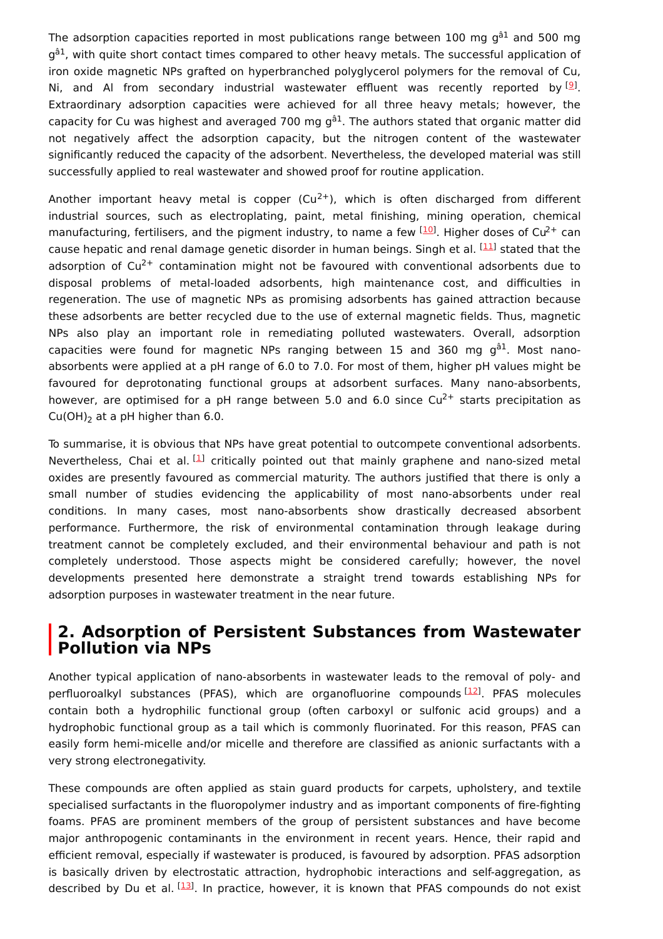The adsorption capacities reported in most publications range between 100 mg g $^{\rm \hat{a}1}$  and 500 mg g<sup>â1</sup>, with quite short contact times compared to other heavy metals. The successful application of iron oxide magnetic NPs grafted on hyperbranched polyglycerol polymers for the removal of Cu, Ni, and Al from secondary industrial wastewater effluent was recently reported by  $[9]$  $[9]$ . Extraordinary adsorption capacities were achieved for all three heavy metals; however, the capacity for Cu was highest and averaged 700 mg g<sup>â1</sup>. The authors stated that organic matter did not negatively affect the adsorption capacity, but the nitrogen content of the wastewater significantly reduced the capacity of the adsorbent. Nevertheless, the developed material was still successfully applied to real wastewater and showed proof for routine application.

Another important heavy metal is copper (Cu<sup>2+</sup>), which is often discharged from different industrial sources, such as electroplating, paint, metal finishing, mining operation, chemical manufacturing, fertilisers, and the pigment industry, to name a few  $^{[10]}$  $^{[10]}$  $^{[10]}$ . Higher doses of Cu<sup>2+</sup> can cause hepatic and renal damage genetic disorder in human beings. Singh et al. <sup>[[11](#page-11-9)]</sup> stated that the adsorption of Cu<sup>2+</sup> contamination might not be favoured with conventional adsorbents due to disposal problems of metal-loaded adsorbents, high maintenance cost, and difficulties in regeneration. The use of magnetic NPs as promising adsorbents has gained attraction because these adsorbents are better recycled due to the use of external magnetic fields. Thus, magnetic NPs also play an important role in remediating polluted wastewaters. Overall, adsorption capacities were found for magnetic NPs ranging between 15 and 360 mg g<sup>â1</sup>. Most nanoabsorbents were applied at a pH range of 6.0 to 7.0. For most of them, higher pH values might be favoured for deprotonating functional groups at adsorbent surfaces. Many nano-absorbents, however, are optimised for a pH range between 5.0 and 6.0 since  $Cu^{2+}$  starts precipitation as  $Cu(OH)<sub>2</sub>$  at a pH higher than 6.0.

To summarise, it is obvious that NPs have great potential to outcompete conventional adsorbents. Nevertheless, Chai et al.  $^{[1]}$  $^{[1]}$  $^{[1]}$  critically pointed out that mainly graphene and nano-sized metal oxides are presently favoured as commercial maturity. The authors justified that there is only a small number of studies evidencing the applicability of most nano-absorbents under real conditions. In many cases, most nano-absorbents show drastically decreased absorbent performance. Furthermore, the risk of environmental contamination through leakage during treatment cannot be completely excluded, and their environmental behaviour and path is not completely understood. Those aspects might be considered carefully; however, the novel developments presented here demonstrate a straight trend towards establishing NPs for adsorption purposes in wastewater treatment in the near future.

### **2. Adsorption of Persistent Substances from Wastewater Pollution via NPs**

Another typical application of nano-absorbents in wastewater leads to the removal of poly- and perfluoroalkyl substances (PFAS), which are organofluorine compounds [\[12](#page-11-10)]. PFAS molecules contain both a hydrophilic functional group (often carboxyl or sulfonic acid groups) and a hydrophobic functional group as a tail which is commonly fluorinated. For this reason, PFAS can easily form hemi-micelle and/or micelle and therefore are classified as anionic surfactants with a very strong electronegativity.

These compounds are often applied as stain guard products for carpets, upholstery, and textile specialised surfactants in the fluoropolymer industry and as important components of fire-fighting foams. PFAS are prominent members of the group of persistent substances and have become major anthropogenic contaminants in the environment in recent years. Hence, their rapid and efficient removal, especially if wastewater is produced, is favoured by adsorption. PFAS adsorption is basically driven by electrostatic attraction, hydrophobic interactions and self-aggregation, as described by Du et al. <sup>[\[13](#page-11-11)]</sup>. In practice, however, it is known that PFAS compounds do not exist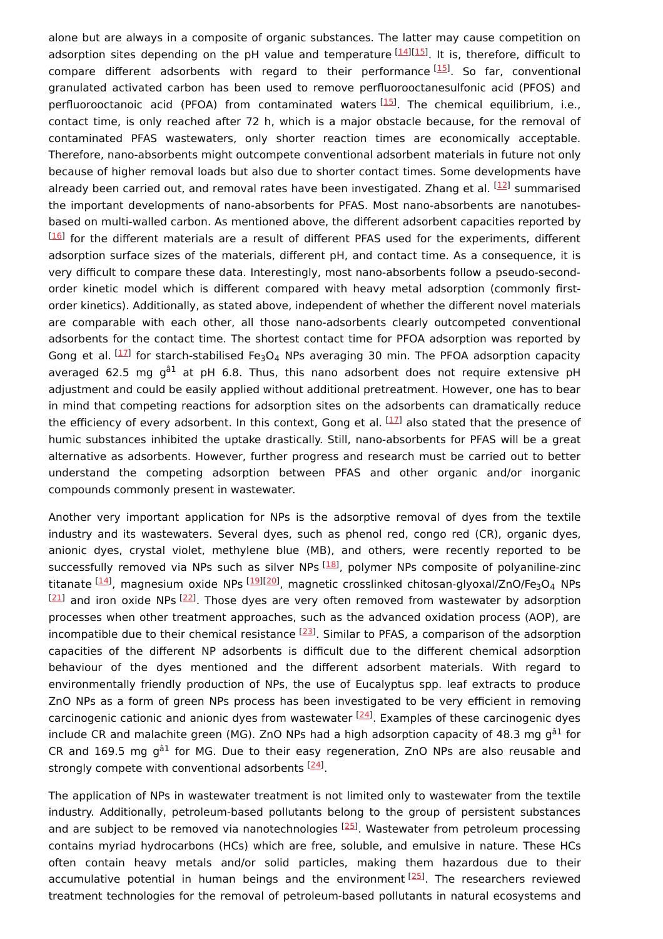alone but are always in a composite of organic substances. The latter may cause competition on adsorption sites depending on the pH value and temperature [\[14](#page-11-12)][\[15](#page-11-13)]. It is, therefore, difficult to compare different adsorbents with regard to their performance<sup>[[15](#page-11-13)]</sup>. So far, conventional granulated activated carbon has been used to remove perfluorooctanesulfonic acid (PFOS) and perfluorooctanoic acid (PFOA) from contaminated waters [[15](#page-11-13)]. The chemical equilibrium, i.e., contact time, is only reached after 72 h, which is a major obstacle because, for the removal of contaminated PFAS wastewaters, only shorter reaction times are economically acceptable. Therefore, nano-absorbents might outcompete conventional adsorbent materials in future not only because of higher removal loads but also due to shorter contact times. Some developments have already been carried out, and removal rates have been investigated. Zhang et al. <sup>[\[12](#page-11-10)]</sup> summarised the important developments of nano-absorbents for PFAS. Most nano-absorbents are nanotubesbased on multi-walled carbon. As mentioned above, the different adsorbent capacities reported by  $^{[16]}$  $^{[16]}$  $^{[16]}$  for the different materials are a result of different PFAS used for the experiments, different adsorption surface sizes of the materials, different pH, and contact time. As a consequence, it is very difficult to compare these data. Interestingly, most nano-absorbents follow a pseudo-secondorder kinetic model which is different compared with heavy metal adsorption (commonly firstorder kinetics). Additionally, as stated above, independent of whether the different novel materials are comparable with each other, all those nano-adsorbents clearly outcompeted conventional adsorbents for the contact time. The shortest contact time for PFOA adsorption was reported by Gong et al.  $^{[17]}$  $^{[17]}$  $^{[17]}$  for starch-stabilised Fe<sub>3</sub>O<sub>4</sub> NPs averaging 30 min. The PFOA adsorption capacity averaged 62.5 mg g<sup>â1</sup> at pH 6.8. Thus, this nano adsorbent does not require extensive pH adjustment and could be easily applied without additional pretreatment. However, one has to bear in mind that competing reactions for adsorption sites on the adsorbents can dramatically reduce the efficiency of every adsorbent. In this context, Gong et al.  $^{[17]}$  $^{[17]}$  $^{[17]}$  also stated that the presence of humic substances inhibited the uptake drastically. Still, nano-absorbents for PFAS will be a great alternative as adsorbents. However, further progress and research must be carried out to better understand the competing adsorption between PFAS and other organic and/or inorganic compounds commonly present in wastewater.

Another very important application for NPs is the adsorptive removal of dyes from the textile industry and its wastewaters. Several dyes, such as phenol red, congo red (CR), organic dyes, anionic dyes, crystal violet, methylene blue (MB), and others, were recently reported to be successfully removed via NPs such as silver NPs <sup>[\[18\]](#page-11-16)</sup>, polymer NPs composite of polyaniline-zinc titanate <sup>[<u>14</u>]</sup>, magnesium oxide NPs <sup>[<u>[19](#page-12-0)][\[20](#page-12-1)</u>], magnetic crosslinked chitosan-glyoxal/ZnO/Fe<sub>3</sub>O<sub>4</sub> NPs</sup>  $[21]$  and iron oxide NPs  $[22]$  $[22]$  $[22]$ . Those dyes are very often removed from wastewater by adsorption processes when other treatment approaches, such as the advanced oxidation process (AOP), are incompatible due to their chemical resistance <sup>[[23](#page-12-4)]</sup>. Similar to PFAS, a comparison of the adsorption capacities of the different NP adsorbents is difficult due to the different chemical adsorption behaviour of the dyes mentioned and the different adsorbent materials. With regard to environmentally friendly production of NPs, the use of Eucalyptus spp. leaf extracts to produce ZnO NPs as a form of green NPs process has been investigated to be very efficient in removing carcinogenic cationic and anionic dyes from wastewater <sup>[\[24\]](#page-12-5)</sup>. Examples of these carcinogenic dyes include CR and malachite green (MG). ZnO NPs had a high adsorption capacity of 48.3 mg g<sup>â1</sup> for CR and 169.5 mg g ${}^{a}1$  for MG. Due to their easy regeneration, ZnO NPs are also reusable and strongly compete with conventional adsorbents <sup>[\[24](#page-12-5)]</sup>.

The application of NPs in wastewater treatment is not limited only to wastewater from the textile industry. Additionally, petroleum-based pollutants belong to the group of persistent substances and are subject to be removed via nanotechnologies <a>[\[25](#page-12-6)]</a>. Wastewater from petroleum processing contains myriad hydrocarbons (HCs) which are free, soluble, and emulsive in nature. These HCs often contain heavy metals and/or solid particles, making them hazardous due to their accumulative potential in human beings and the environment <a>[\[25](#page-12-6)]</a>. The researchers reviewed treatment technologies for the removal of petroleum-based pollutants in natural ecosystems and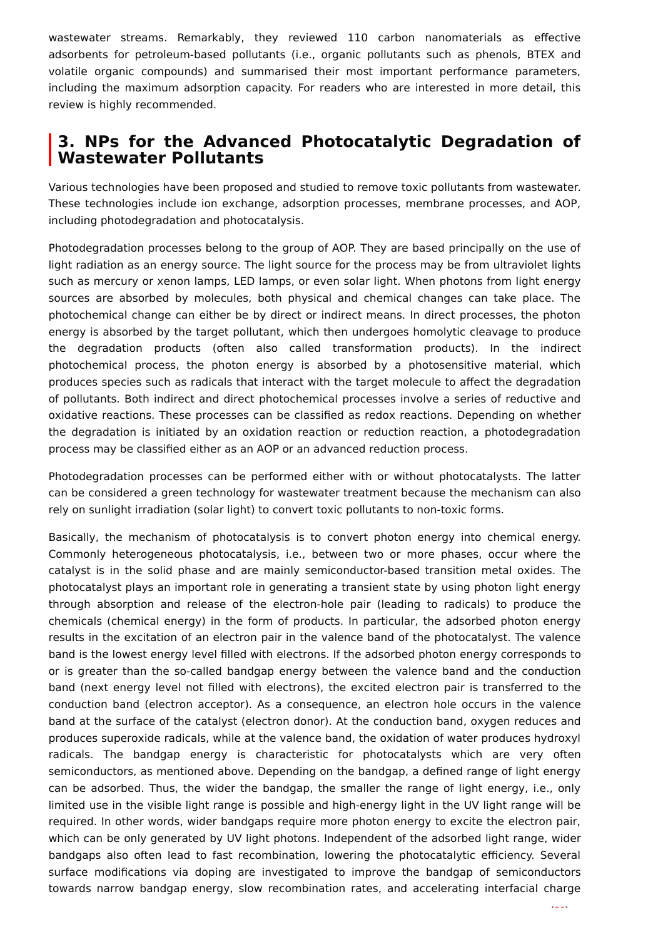wastewater streams. Remarkably, they reviewed 110 carbon nanomaterials as effective adsorbents for petroleum-based pollutants (i.e., organic pollutants such as phenols, BTEX and volatile organic compounds) and summarised their most important performance parameters, including the maximum adsorption capacity. For readers who are interested in more detail, this review is highly recommended.

# **3. NPs for the Advanced Photocatalytic Degradation of Wastewater Pollutants**

Various technologies have been proposed and studied to remove toxic pollutants from wastewater. These technologies include ion exchange, adsorption processes, membrane processes, and AOP, including photodegradation and photocatalysis.

Photodegradation processes belong to the group of AOP. They are based principally on the use of light radiation as an energy source. The light source for the process may be from ultraviolet lights such as mercury or xenon lamps, LED lamps, or even solar light. When photons from light energy sources are absorbed by molecules, both physical and chemical changes can take place. The photochemical change can either be by direct or indirect means. In direct processes, the photon energy is absorbed by the target pollutant, which then undergoes homolytic cleavage to produce the degradation products (often also called transformation products). In the indirect photochemical process, the photon energy is absorbed by a photosensitive material, which produces species such as radicals that interact with the target molecule to affect the degradation of pollutants. Both indirect and direct photochemical processes involve a series of reductive and oxidative reactions. These processes can be classified as redox reactions. Depending on whether the degradation is initiated by an oxidation reaction or reduction reaction, a photodegradation process may be classified either as an AOP or an advanced reduction process.

Photodegradation processes can be performed either with or without photocatalysts. The latter can be considered a green technology for wastewater treatment because the mechanism can also rely on sunlight irradiation (solar light) to convert toxic pollutants to non-toxic forms.

Basically, the mechanism of photocatalysis is to convert photon energy into chemical energy. Commonly heterogeneous photocatalysis, i.e., between two or more phases, occur where the catalyst is in the solid phase and are mainly semiconductor-based transition metal oxides. The photocatalyst plays an important role in generating a transient state by using photon light energy through absorption and release of the electron-hole pair (leading to radicals) to produce the chemicals (chemical energy) in the form of products. In particular, the adsorbed photon energy results in the excitation of an electron pair in the valence band of the photocatalyst. The valence band is the lowest energy level filled with electrons. If the adsorbed photon energy corresponds to or is greater than the so-called bandgap energy between the valence band and the conduction band (next energy level not filled with electrons), the excited electron pair is transferred to the conduction band (electron acceptor). As a consequence, an electron hole occurs in the valence band at the surface of the catalyst (electron donor). At the conduction band, oxygen reduces and produces superoxide radicals, while at the valence band, the oxidation of water produces hydroxyl radicals. The bandgap energy is characteristic for photocatalysts which are very often semiconductors, as mentioned above. Depending on the bandgap, a defined range of light energy can be adsorbed. Thus, the wider the bandgap, the smaller the range of light energy, i.e., only limited use in the visible light range is possible and high-energy light in the UV light range will be required. In other words, wider bandgaps require more photon energy to excite the electron pair, which can be only generated by UV light photons. Independent of the adsorbed light range, wider bandgaps also often lead to fast recombination, lowering the photocatalytic efficiency. Several surface modifications via doping are investigated to improve the bandgap of semiconductors towards narrow bandgap energy, slow recombination rates, and accelerating interfacial charge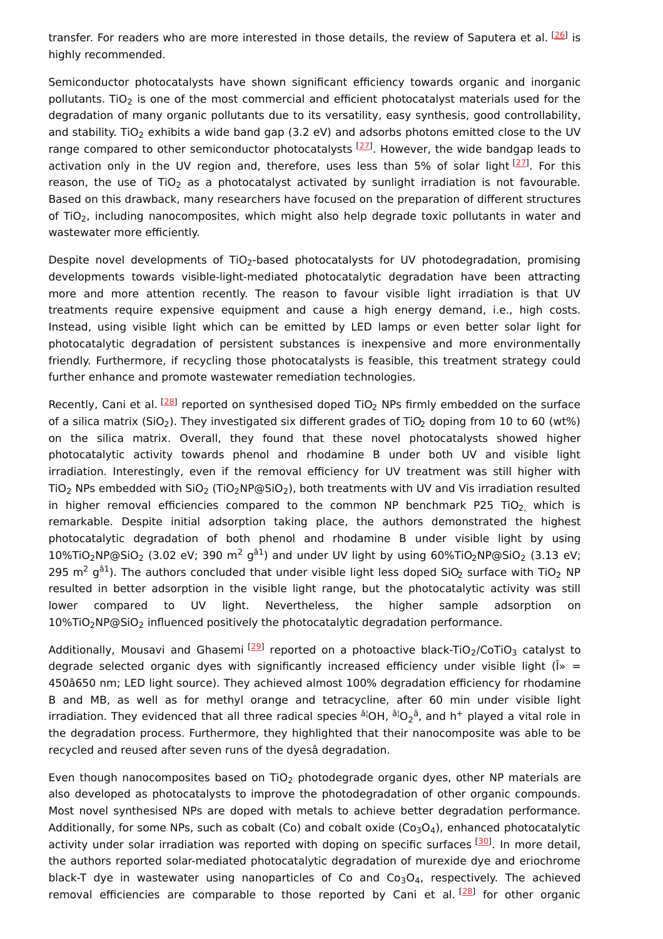transfer. For readers who are more interested in those details, the review of Saputera et al. [\[26](#page-12-7)] is highly recommended.

Semiconductor photocatalysts have shown significant efficiency towards organic and inorganic pollutants. TiO<sub>2</sub> is one of the most commercial and efficient photocatalyst materials used for the degradation of many organic pollutants due to its versatility, easy synthesis, good controllability, and stability. TiO<sub>2</sub> exhibits a wide band gap (3.2 eV) and adsorbs photons emitted close to the UV range compared to other semiconductor photocatalysts <sup>[\[27\]](#page-12-8)</sup>. However, the wide bandgap leads to activation only in the UV region and, therefore, uses less than 5% of solar light <sup>[[27](#page-12-8)]</sup>. For this reason, the use of TiO<sub>2</sub> as a photocatalyst activated by sunlight irradiation is not favourable. Based on this drawback, many researchers have focused on the preparation of different structures of TiO<sub>2</sub>, including nanocomposites, which might also help degrade toxic pollutants in water and wastewater more efficiently.

Despite novel developments of TiO<sub>2</sub>-based photocatalysts for UV photodegradation, promising developments towards visible-light-mediated photocatalytic degradation have been attracting more and more attention recently. The reason to favour visible light irradiation is that UV treatments require expensive equipment and cause a high energy demand, i.e., high costs. Instead, using visible light which can be emitted by LED lamps or even better solar light for photocatalytic degradation of persistent substances is inexpensive and more environmentally friendly. Furthermore, if recycling those photocatalysts is feasible, this treatment strategy could further enhance and promote wastewater remediation technologies.

Recently, Cani et al.  $^{[28]}$  $^{[28]}$  $^{[28]}$  reported on synthesised doped TiO<sub>2</sub> NPs firmly embedded on the surface of a silica matrix (SiO<sub>2</sub>). They investigated six different grades of TiO<sub>2</sub> doping from 10 to 60 (wt%) on the silica matrix. Overall, they found that these novel photocatalysts showed higher photocatalytic activity towards phenol and rhodamine B under both UV and visible light irradiation. Interestingly, even if the removal efficiency for UV treatment was still higher with TiO<sub>2</sub> NPs embedded with SiO<sub>2</sub> (TiO<sub>2</sub>NP@SiO<sub>2</sub>), both treatments with UV and Vis irradiation resulted in higher removal efficiencies compared to the common NP benchmark P25 TiO<sub>2,</sub> which is remarkable. Despite initial adsorption taking place, the authors demonstrated the highest photocatalytic degradation of both phenol and rhodamine B under visible light by using  $10\%$ TiO<sub>2</sub>NP@SiO<sub>2</sub> (3.02 eV; 390 m<sup>2</sup> g<sup>â1</sup>) and under UV light by using 60%TiO<sub>2</sub>NP@SiO<sub>2</sub> (3.13 eV; 295 m<sup>2</sup> g<sup>â1</sup>). The authors concluded that under visible light less doped SiO<sub>2</sub> surface with TiO<sub>2</sub> NP resulted in better adsorption in the visible light range, but the photocatalytic activity was still lower compared to UV light. Nevertheless, the higher sample adsorption on  $10\%$ TiO<sub>2</sub>NP@SiO<sub>2</sub> influenced positively the photocatalytic degradation performance.

Additionally, Mousavi and Ghasemi [\[29](#page-12-10)] reported on a photoactive black-TiO<sub>2</sub>/CoTiO<sub>3</sub> catalyst to degrade selected organic dyes with significantly increased efficiency under visible light ( $\hat{\bf l}$ ) = 450â650 nm; LED light source). They achieved almost 100% degradation efficiency for rhodamine B and MB, as well as for methyl orange and tetracycline, after 60 min under visible light irradiation. They evidenced that all three radical species  $^{\rm a|OH}$ ,  $^{\rm a|O_2^{\rm \hat a}}$ , and h $^+$  played a vital role in the degradation process. Furthermore, they highlighted that their nanocomposite was able to be recycled and reused after seven runs of the dyesâ degradation.

Even though nanocomposites based on TiO<sub>2</sub> photodegrade organic dyes, other NP materials are also developed as photocatalysts to improve the photodegradation of other organic compounds. Most novel synthesised NPs are doped with metals to achieve better degradation performance. Additionally, for some NPs, such as cobalt (Co) and cobalt oxide (Co<sub>3</sub>O<sub>4</sub>), enhanced photocatalytic activity under solar irradiation was reported with doping on specific surfaces [\[30](#page-12-11)]. In more detail, the authors reported solar-mediated photocatalytic degradation of murexide dye and eriochrome black-T dye in wastewater using nanoparticles of Co and  $Co<sub>3</sub>O<sub>4</sub>$ , respectively. The achieved removal efficiencies are comparable to those reported by Cani et al.<sup>[[28](#page-12-9)]</sup> for other organic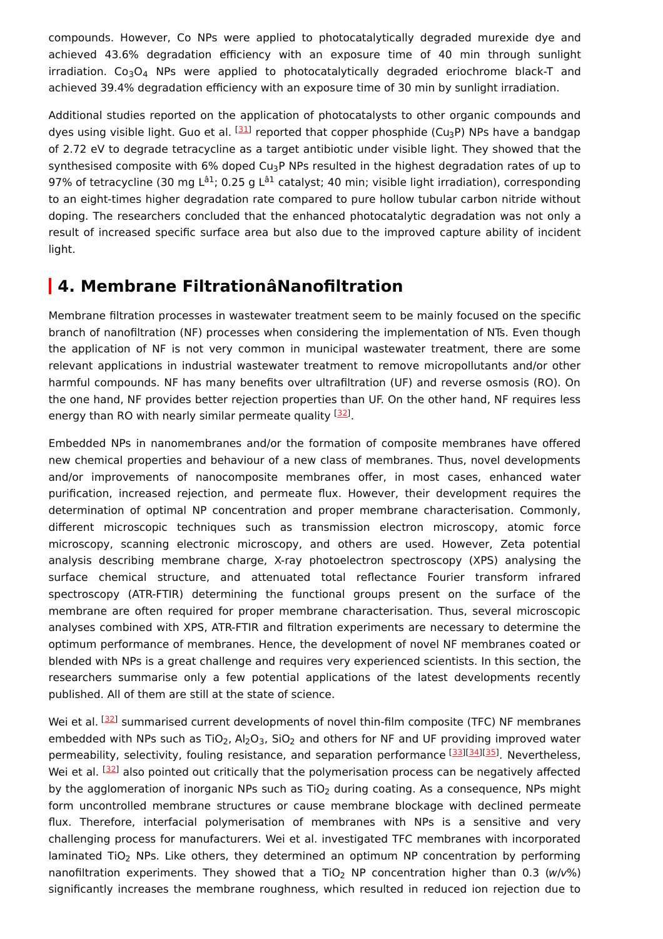compounds. However, Co NPs were applied to photocatalytically degraded murexide dye and achieved 43.6% degradation efficiency with an exposure time of 40 min through sunlight irradiation.  $Co<sub>3</sub>O<sub>4</sub>$  NPs were applied to photocatalytically degraded eriochrome black-T and achieved 39.4% degradation efficiency with an exposure time of 30 min by sunlight irradiation.

Additional studies reported on the application of photocatalysts to other organic compounds and dyes using visible light. Guo et al. <sup>[[31\]](#page-12-12)</sup> reported that copper phosphide (Cu<sub>3</sub>P) NPs have a bandgap of 2.72 eV to degrade tetracycline as a target antibiotic under visible light. They showed that the synthesised composite with 6% doped Cu<sub>3</sub>P NPs resulted in the highest degradation rates of up to 97% of tetracycline (30 mg L<sup>â1</sup>; 0.25 g L<sup>â1</sup> catalyst; 40 min; visible light irradiation), corresponding to an eight-times higher degradation rate compared to pure hollow tubular carbon nitride without doping. The researchers concluded that the enhanced photocatalytic degradation was not only a result of increased specific surface area but also due to the improved capture ability of incident light.

# **4. Membrane FiltrationâNanofiltration**

Membrane filtration processes in wastewater treatment seem to be mainly focused on the specific branch of nanofiltration (NF) processes when considering the implementation of NTs. Even though the application of NF is not very common in municipal wastewater treatment, there are some relevant applications in industrial wastewater treatment to remove micropollutants and/or other harmful compounds. NF has many benefits over ultrafiltration (UF) and reverse osmosis (RO). On the one hand, NF provides better rejection properties than UF. On the other hand, NF requires less energy than RO with nearly similar permeate quality <sup>[\[32](#page-12-13)]</sup>.

Embedded NPs in nanomembranes and/or the formation of composite membranes have offered new chemical properties and behaviour of a new class of membranes. Thus, novel developments and/or improvements of nanocomposite membranes offer, in most cases, enhanced water purification, increased rejection, and permeate flux. However, their development requires the determination of optimal NP concentration and proper membrane characterisation. Commonly, different microscopic techniques such as transmission electron microscopy, atomic force microscopy, scanning electronic microscopy, and others are used. However, Zeta potential analysis describing membrane charge, X-ray photoelectron spectroscopy (XPS) analysing the surface chemical structure, and attenuated total reflectance Fourier transform infrared spectroscopy (ATR-FTIR) determining the functional groups present on the surface of the membrane are often required for proper membrane characterisation. Thus, several microscopic analyses combined with XPS, ATR-FTIR and filtration experiments are necessary to determine the optimum performance of membranes. Hence, the development of novel NF membranes coated or blended with NPs is a great challenge and requires very experienced scientists. In this section, the researchers summarise only a few potential applications of the latest developments recently published. All of them are still at the state of science.

Wei et al. [[32\]](#page-12-13) summarised current developments of novel thin-film composite (TFC) NF membranes embedded with NPs such as TiO<sub>2</sub>, Al<sub>2</sub>O<sub>3</sub>, SiO<sub>2</sub> and others for NF and UF providing improved water permeability, selectivity, fouling resistance, and separation performance <a>[[33](#page-12-14)]</a>[[35](#page-13-0)]</a>. Nevertheless, Wei et al. <sup>[\[32](#page-12-13)]</sup> also pointed out critically that the polymerisation process can be negatively affected by the agglomeration of inorganic NPs such as TiO<sub>2</sub> during coating. As a consequence, NPs might form uncontrolled membrane structures or cause membrane blockage with declined permeate flux. Therefore, interfacial polymerisation of membranes with NPs is a sensitive and very challenging process for manufacturers. Wei et al. investigated TFC membranes with incorporated laminated TiO<sub>2</sub> NPs. Like others, they determined an optimum NP concentration by performing nanofiltration experiments. They showed that a TiO<sub>2</sub> NP concentration higher than 0.3 (w/v%) significantly increases the membrane roughness, which resulted in reduced ion rejection due to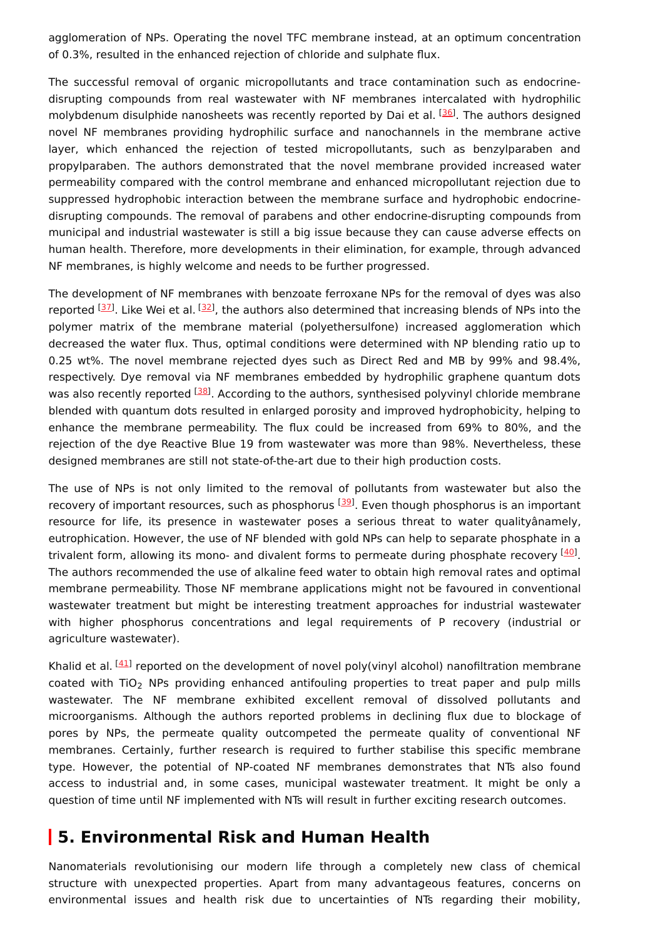agglomeration of NPs. Operating the novel TFC membrane instead, at an optimum concentration of 0.3%, resulted in the enhanced rejection of chloride and sulphate flux.

The successful removal of organic micropollutants and trace contamination such as endocrinedisrupting compounds from real wastewater with NF membranes intercalated with hydrophilic molybdenum disulphide nanosheets was recently reported by Dai et al. <sup>[[36](#page-13-1)]</sup>. The authors designed novel NF membranes providing hydrophilic surface and nanochannels in the membrane active layer, which enhanced the rejection of tested micropollutants, such as benzylparaben and propylparaben. The authors demonstrated that the novel membrane provided increased water permeability compared with the control membrane and enhanced micropollutant rejection due to suppressed hydrophobic interaction between the membrane surface and hydrophobic endocrinedisrupting compounds. The removal of parabens and other endocrine-disrupting compounds from municipal and industrial wastewater is still a big issue because they can cause adverse effects on human health. Therefore, more developments in their elimination, for example, through advanced NF membranes, is highly welcome and needs to be further progressed.

The development of NF membranes with benzoate ferroxane NPs for the removal of dyes was also reported <sup>[[37\]](#page-13-2)</sup>. Like Wei et al. <sup>[[32\]](#page-12-13)</sup>, the authors also determined that increasing blends of NPs into the polymer matrix of the membrane material (polyethersulfone) increased agglomeration which decreased the water flux. Thus, optimal conditions were determined with NP blending ratio up to 0.25 wt%. The novel membrane rejected dyes such as Direct Red and MB by 99% and 98.4%, respectively. Dye removal via NF membranes embedded by hydrophilic graphene quantum dots was also recently reported <sup>[\[38](#page-13-3)]</sup>. According to the authors, synthesised polyvinyl chloride membrane blended with quantum dots resulted in enlarged porosity and improved hydrophobicity, helping to enhance the membrane permeability. The flux could be increased from 69% to 80%, and the rejection of the dye Reactive Blue 19 from wastewater was more than 98%. Nevertheless, these designed membranes are still not state-of-the-art due to their high production costs.

The use of NPs is not only limited to the removal of pollutants from wastewater but also the recovery of important resources, such as phosphorus <sup>[\[39](#page-13-4)]</sup>. Even though phosphorus is an important resource for life, its presence in wastewater poses a serious threat to water qualityânamely, eutrophication. However, the use of NF blended with gold NPs can help to separate phosphate in a trivalent form, allowing its mono- and divalent forms to permeate during phosphate recovery [\[40](#page-13-5)]. The authors recommended the use of alkaline feed water to obtain high removal rates and optimal membrane permeability. Those NF membrane applications might not be favoured in conventional wastewater treatment but might be interesting treatment approaches for industrial wastewater with higher phosphorus concentrations and legal requirements of P recovery (industrial or agriculture wastewater).

Khalid et al. <sup>[\[41\]](#page-13-6)</sup> reported on the development of novel poly(vinyl alcohol) nanofiltration membrane coated with TiO<sub>2</sub> NPs providing enhanced antifouling properties to treat paper and pulp mills wastewater. The NF membrane exhibited excellent removal of dissolved pollutants and microorganisms. Although the authors reported problems in declining flux due to blockage of pores by NPs, the permeate quality outcompeted the permeate quality of conventional NF membranes. Certainly, further research is required to further stabilise this specific membrane type. However, the potential of NP-coated NF membranes demonstrates that NTs also found access to industrial and, in some cases, municipal wastewater treatment. It might be only a question of time until NF implemented with NTs will result in further exciting research outcomes.

## **5. Environmental Risk and Human Health**

Nanomaterials revolutionising our modern life through a completely new class of chemical structure with unexpected properties. Apart from many advantageous features, concerns on environmental issues and health risk due to uncertainties of NTs regarding their mobility,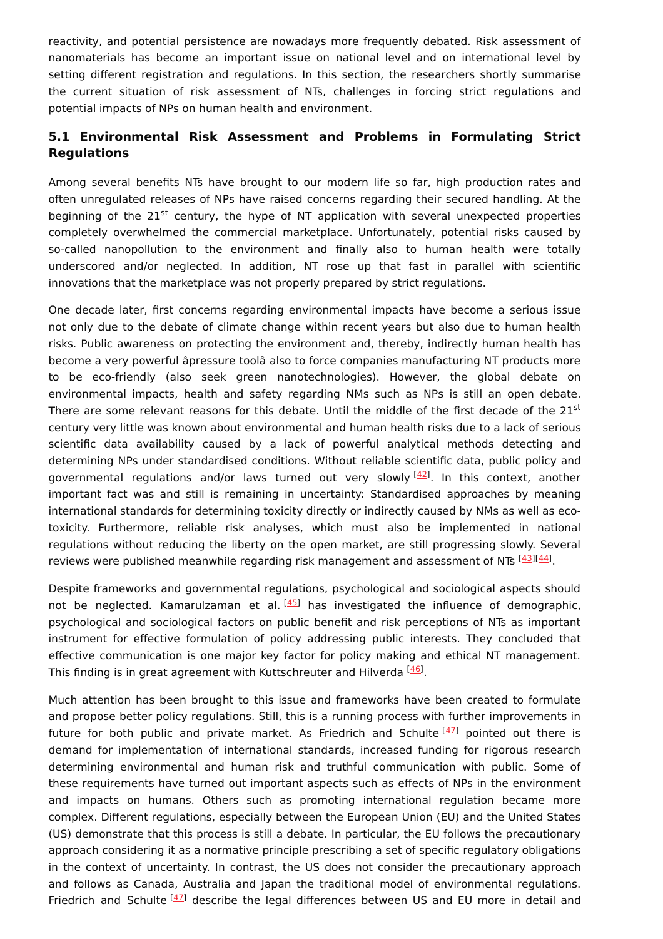reactivity, and potential persistence are nowadays more frequently debated. Risk assessment of nanomaterials has become an important issue on national level and on international level by setting different registration and regulations. In this section, the researchers shortly summarise the current situation of risk assessment of NTs, challenges in forcing strict regulations and potential impacts of NPs on human health and environment.

### **5.1 Environmental Risk Assessment and Problems in Formulating Strict Regulations**

Among several benefits NTs have brought to our modern life so far, high production rates and often unregulated releases of NPs have raised concerns regarding their secured handling. At the beginning of the 21<sup>st</sup> century, the hype of NT application with several unexpected properties completely overwhelmed the commercial marketplace. Unfortunately, potential risks caused by so-called nanopollution to the environment and finally also to human health were totally underscored and/or neglected. In addition, NT rose up that fast in parallel with scientific innovations that the marketplace was not properly prepared by strict regulations.

One decade later, first concerns regarding environmental impacts have become a serious issue not only due to the debate of climate change within recent years but also due to human health risks. Public awareness on protecting the environment and, thereby, indirectly human health has become a very powerful âpressure toolâ also to force companies manufacturing NT products more to be eco-friendly (also seek green nanotechnologies). However, the global debate on environmental impacts, health and safety regarding NMs such as NPs is still an open debate. There are some relevant reasons for this debate. Until the middle of the first decade of the 21<sup>st</sup> century very little was known about environmental and human health risks due to a lack of serious scientific data availability caused by a lack of powerful analytical methods detecting and determining NPs under standardised conditions. Without reliable scientific data, public policy and governmental regulations and/or laws turned out very slowly <sup>[[42](#page-13-7)]</sup>. In this context, another important fact was and still is remaining in uncertainty: Standardised approaches by meaning international standards for determining toxicity directly or indirectly caused by NMs as well as ecotoxicity. Furthermore, reliable risk analyses, which must also be implemented in national regulations without reducing the liberty on the open market, are still progressing slowly. Several reviews were published meanwhile regarding risk management and assessment of NTs  $^{[43][44]}$  $^{[43][44]}$  $^{[43][44]}$  $^{[43][44]}$  $^{[43][44]}$ .

Despite frameworks and governmental regulations, psychological and sociological aspects should not be neglected. Kamarulzaman et al.<sup>[\[45](#page-13-10)]</sup> has investigated the influence of demographic, psychological and sociological factors on public benefit and risk perceptions of NTs as important instrument for effective formulation of policy addressing public interests. They concluded that effective communication is one major key factor for policy making and ethical NT management. This finding is in great agreement with Kuttschreuter and Hilverda  $^{[46]}$  $^{[46]}$  $^{[46]}$ .

Much attention has been brought to this issue and frameworks have been created to formulate and propose better policy regulations. Still, this is a running process with further improvements in future for both public and private market. As Friedrich and Schulte<sup>[[47](#page-13-12)]</sup> pointed out there is demand for implementation of international standards, increased funding for rigorous research determining environmental and human risk and truthful communication with public. Some of these requirements have turned out important aspects such as effects of NPs in the environment and impacts on humans. Others such as promoting international regulation became more complex. Different regulations, especially between the European Union (EU) and the United States (US) demonstrate that this process is still a debate. In particular, the EU follows the precautionary approach considering it as a normative principle prescribing a set of specific regulatory obligations in the context of uncertainty. In contrast, the US does not consider the precautionary approach and follows as Canada, Australia and Japan the traditional model of environmental regulations. Friedrich and Schulte <sup>[\[47](#page-13-12)]</sup> describe the legal differences between US and EU more in detail and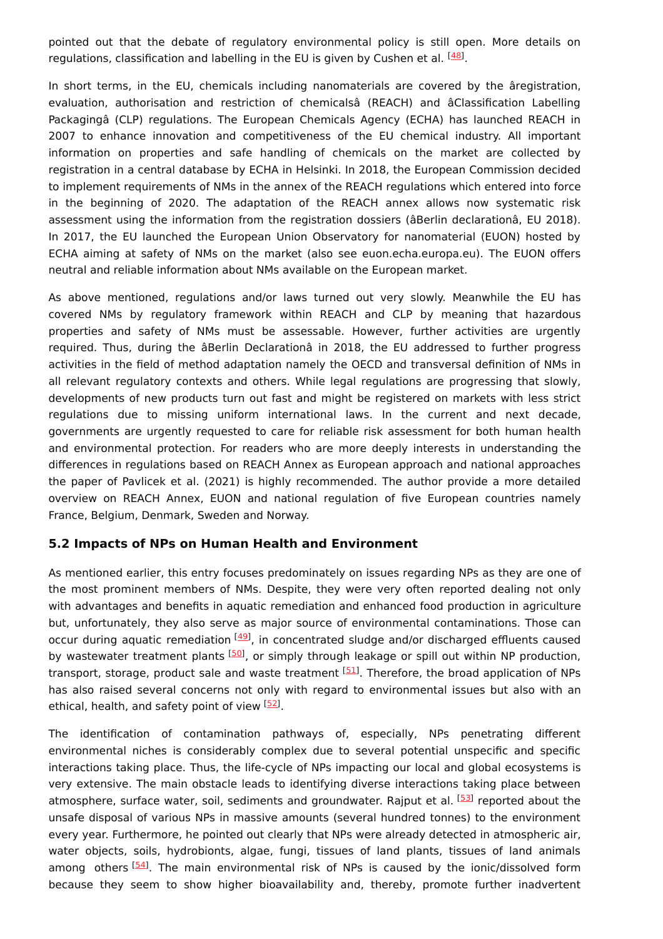pointed out that the debate of regulatory environmental policy is still open. More details on regulations, classification and labelling in the EU is given by Cushen et al.  $^{[48]}$  $^{[48]}$  $^{[48]}$ .

In short terms, in the EU, chemicals including nanomaterials are covered by the âregistration, evaluation, authorisation and restriction of chemicalsâ (REACH) and âClassification Labelling Packagingâ (CLP) regulations. The European Chemicals Agency (ECHA) has launched REACH in 2007 to enhance innovation and competitiveness of the EU chemical industry. All important information on properties and safe handling of chemicals on the market are collected by registration in a central database by ECHA in Helsinki. In 2018, the European Commission decided to implement requirements of NMs in the annex of the REACH regulations which entered into force in the beginning of 2020. The adaptation of the REACH annex allows now systematic risk assessment using the information from the registration dossiers (âBerlin declarationâ, EU 2018). In 2017, the EU launched the European Union Observatory for nanomaterial (EUON) hosted by ECHA aiming at safety of NMs on the market (also see euon.echa.europa.eu). The EUON offers neutral and reliable information about NMs available on the European market.

As above mentioned, regulations and/or laws turned out very slowly. Meanwhile the EU has covered NMs by regulatory framework within REACH and CLP by meaning that hazardous properties and safety of NMs must be assessable. However, further activities are urgently required. Thus, during the âBerlin Declarationâ in 2018, the EU addressed to further progress activities in the field of method adaptation namely the OECD and transversal definition of NMs in all relevant regulatory contexts and others. While legal regulations are progressing that slowly, developments of new products turn out fast and might be registered on markets with less strict regulations due to missing uniform international laws. In the current and next decade, governments are urgently requested to care for reliable risk assessment for both human health and environmental protection. For readers who are more deeply interests in understanding the differences in regulations based on REACH Annex as European approach and national approaches the paper of Pavlicek et al. (2021) is highly recommended. The author provide a more detailed overview on REACH Annex, EUON and national regulation of five European countries namely France, Belgium, Denmark, Sweden and Norway.

#### **5.2 Impacts of NPs on Human Health and Environment**

As mentioned earlier, this entry focuses predominately on issues regarding NPs as they are one of the most prominent members of NMs. Despite, they were very often reported dealing not only with advantages and benefits in aquatic remediation and enhanced food production in agriculture but, unfortunately, they also serve as major source of environmental contaminations. Those can occur during aquatic remediation <a>[\[49](#page-13-14)]</a>, in concentrated sludge and/or discharged effluents caused by wastewater treatment plants [[50\]](#page-13-15), or simply through leakage or spill out within NP production, transport, storage, product sale and waste treatment [\[51\]](#page-14-0). Therefore, the broad application of NPs has also raised several concerns not only with regard to environmental issues but also with an ethical, health, and safety point of view [\[52](#page-14-1)].

The identification of contamination pathways of, especially, NPs penetrating different environmental niches is considerably complex due to several potential unspecific and specific interactions taking place. Thus, the life-cycle of NPs impacting our local and global ecosystems is very extensive. The main obstacle leads to identifying diverse interactions taking place between atmosphere, surface water, soil, sediments and groundwater. Rajput et al. <sup>[\[53](#page-14-2)]</sup> reported about the unsafe disposal of various NPs in massive amounts (several hundred tonnes) to the environment every year. Furthermore, he pointed out clearly that NPs were already detected in atmospheric air, water objects, soils, hydrobionts, algae, fungi, tissues of land plants, tissues of land animals among others [[54](#page-14-3)]. The main environmental risk of NPs is caused by the ionic/dissolved form because they seem to show higher bioavailability and, thereby, promote further inadvertent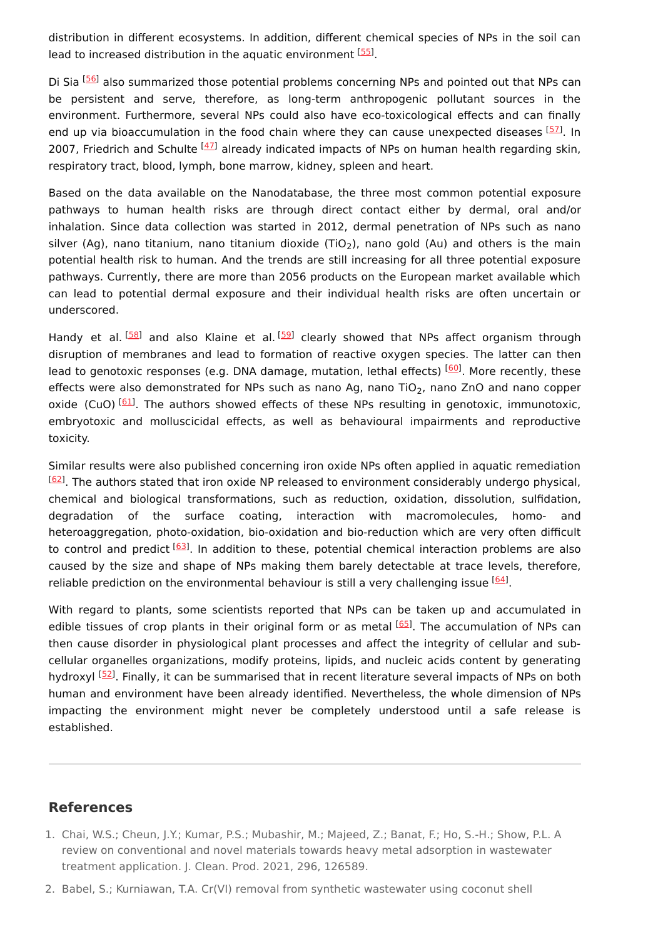distribution in different ecosystems. In addition, different chemical species of NPs in the soil can lead to increased distribution in the aquatic environment [\[55](#page-14-4)].

Di Sia <sup>[\[56](#page-14-5)]</sup> also summarized those potential problems concerning NPs and pointed out that NPs can be persistent and serve, therefore, as long-term anthropogenic pollutant sources in the environment. Furthermore, several NPs could also have eco-toxicological effects and can finally end up via bioaccumulation in the food chain where they can cause unexpected diseases [[57](#page-14-6)]. In 2007, Friedrich and Schulte <sup>[\[47](#page-13-12)]</sup> already indicated impacts of NPs on human health regarding skin, respiratory tract, blood, lymph, bone marrow, kidney, spleen and heart.

Based on the data available on the Nanodatabase, the three most common potential exposure pathways to human health risks are through direct contact either by dermal, oral and/or inhalation. Since data collection was started in 2012, dermal penetration of NPs such as nano silver (Ag), nano titanium, nano titanium dioxide (TiO<sub>2</sub>), nano gold (Au) and others is the main potential health risk to human. And the trends are still increasing for all three potential exposure pathways. Currently, there are more than 2056 products on the European market available which can lead to potential dermal exposure and their individual health risks are often uncertain or underscored.

Handy et al. [[58](#page-14-7)] and also Klaine et al. <sup>[\[59](#page-14-8)]</sup> clearly showed that NPs affect organism through disruption of membranes and lead to formation of reactive oxygen species. The latter can then lead to genotoxic responses (e.g. DNA damage, mutation, lethal effects) [\[60](#page-14-9)]. More recently, these effects were also demonstrated for NPs such as nano Ag, nano TiO<sub>2</sub>, nano ZnO and nano copper oxide (CuO) [[61](#page-14-10)]. The authors showed effects of these NPs resulting in genotoxic, immunotoxic, embryotoxic and molluscicidal effects, as well as behavioural impairments and reproductive toxicity.

Similar results were also published concerning iron oxide NPs often applied in aquatic remediation <sup>[\[62\]](#page-14-11)</sup>. The authors stated that iron oxide NP released to environment considerably undergo physical, chemical and biological transformations, such as reduction, oxidation, dissolution, sulfidation, degradation of the surface coating, interaction with macromolecules, homo- and heteroaggregation, photo-oxidation, bio-oxidation and bio-reduction which are very often difficult to control and predict [[63](#page-14-12)]. In addition to these, potential chemical interaction problems are also caused by the size and shape of NPs making them barely detectable at trace levels, therefore, reliable prediction on the environmental behaviour is still a very challenging issue [\[64](#page-14-13)].

With regard to plants, some scientists reported that NPs can be taken up and accumulated in edible tissues of crop plants in their original form or as metal [[65\]](#page-14-14). The accumulation of NPs can then cause disorder in physiological plant processes and affect the integrity of cellular and subcellular organelles organizations, modify proteins, lipids, and nucleic acids content by generating hydroxyl <sup>[[52](#page-14-1)]</sup>. Finally, it can be summarised that in recent literature several impacts of NPs on both human and environment have been already identified. Nevertheless, the whole dimension of NPs impacting the environment might never be completely understood until a safe release is established.

#### **References**

- <span id="page-10-0"></span>1. Chai, W.S.; Cheun, J.Y.; Kumar, P.S.; Mubashir, M.; Majeed, Z.; Banat, F.; Ho, S.-H.; Show, P.L. A review on conventional and novel materials towards heavy metal adsorption in wastewater treatment application. J. Clean. Prod. 2021, 296, 126589.
- 2. Babel, S.; Kurniawan, T.A. Cr(VI) removal from synthetic wastewater using coconut shell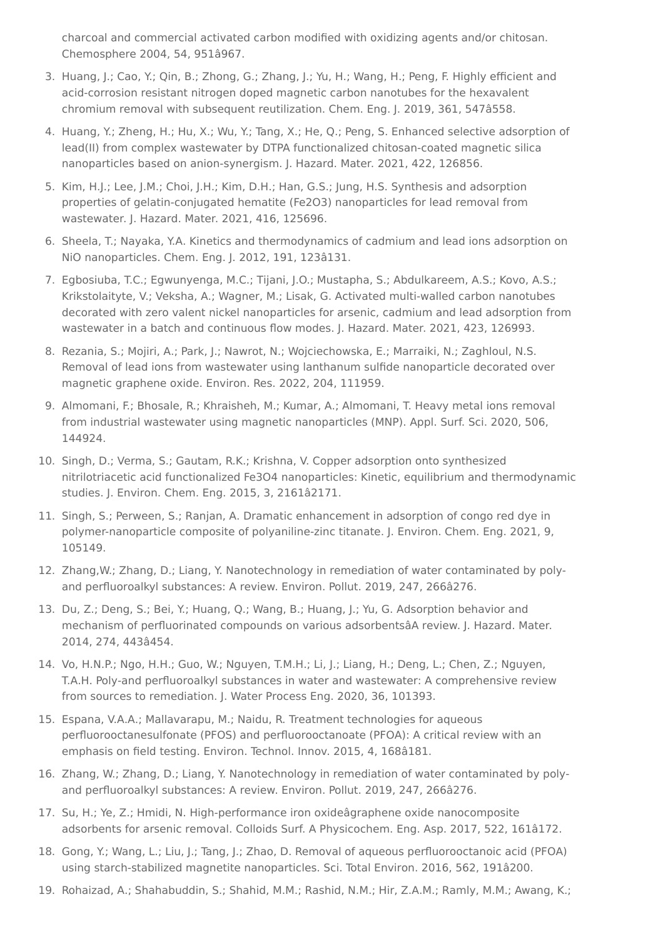<span id="page-11-0"></span>charcoal and commercial activated carbon modified with oxidizing agents and/or chitosan. Chemosphere 2004, 54, 951â967.

- <span id="page-11-1"></span>3. Huang, J.; Cao, Y.; Qin, B.; Zhong, G.; Zhang, J.; Yu, H.; Wang, H.; Peng, F. Highly efficient and acid-corrosion resistant nitrogen doped magnetic carbon nanotubes for the hexavalent chromium removal with subsequent reutilization. Chem. Eng. J. 2019, 361, 547â558.
- <span id="page-11-2"></span>4. Huang, Y.; Zheng, H.; Hu, X.; Wu, Y.; Tang, X.; He, Q.; Peng, S. Enhanced selective adsorption of lead(II) from complex wastewater by DTPA functionalized chitosan-coated magnetic silica nanoparticles based on anion-synergism. J. Hazard. Mater. 2021, 422, 126856.
- <span id="page-11-3"></span>5. Kim, H.J.; Lee, J.M.; Choi, J.H.; Kim, D.H.; Han, G.S.; Jung, H.S. Synthesis and adsorption properties of gelatin-conjugated hematite (Fe2O3) nanoparticles for lead removal from wastewater. J. Hazard. Mater. 2021, 416, 125696.
- <span id="page-11-4"></span>6. Sheela, T.; Nayaka, Y.A. Kinetics and thermodynamics of cadmium and lead ions adsorption on NiO nanoparticles. Chem. Eng. J. 2012, 191, 123â131.
- <span id="page-11-5"></span>7. Egbosiuba, T.C.; Egwunyenga, M.C.; Tijani, J.O.; Mustapha, S.; Abdulkareem, A.S.; Kovo, A.S.; Krikstolaityte, V.; Veksha, A.; Wagner, M.; Lisak, G. Activated multi-walled carbon nanotubes decorated with zero valent nickel nanoparticles for arsenic, cadmium and lead adsorption from wastewater in a batch and continuous flow modes. J. Hazard. Mater. 2021, 423, 126993.
- <span id="page-11-6"></span>8. Rezania, S.; Mojiri, A.; Park, J.; Nawrot, N.; Wojciechowska, E.; Marraiki, N.; Zaghloul, N.S. Removal of lead ions from wastewater using lanthanum sulfide nanoparticle decorated over magnetic graphene oxide. Environ. Res. 2022, 204, 111959.
- <span id="page-11-7"></span>9. Almomani, F.; Bhosale, R.; Khraisheh, M.; Kumar, A.; Almomani, T. Heavy metal ions removal from industrial wastewater using magnetic nanoparticles (MNP). Appl. Surf. Sci. 2020, 506, 144924.
- <span id="page-11-8"></span>10. Singh, D.; Verma, S.; Gautam, R.K.; Krishna, V. Copper adsorption onto synthesized nitrilotriacetic acid functionalized Fe3O4 nanoparticles: Kinetic, equilibrium and thermodynamic studies. J. Environ. Chem. Eng. 2015, 3, 2161â2171.
- <span id="page-11-9"></span>11. Singh, S.; Perween, S.; Ranjan, A. Dramatic enhancement in adsorption of congo red dye in polymer-nanoparticle composite of polyaniline-zinc titanate. J. Environ. Chem. Eng. 2021, 9, 105149.
- <span id="page-11-10"></span>12. Zhang,W.; Zhang, D.; Liang, Y. Nanotechnology in remediation of water contaminated by polyand perfluoroalkyl substances: A review. Environ. Pollut. 2019, 247, 266â276.
- <span id="page-11-11"></span>13. Du, Z.; Deng, S.; Bei, Y.; Huang, Q.; Wang, B.; Huang, J.; Yu, G. Adsorption behavior and mechanism of perfluorinated compounds on various adsorbentsâA review. J. Hazard. Mater. 2014, 274, 443â454.
- <span id="page-11-12"></span>14. Vo, H.N.P.; Ngo, H.H.; Guo, W.; Nguyen, T.M.H.; Li, J.; Liang, H.; Deng, L.; Chen, Z.; Nguyen, T.A.H. Poly-and perfluoroalkyl substances in water and wastewater: A comprehensive review from sources to remediation. J. Water Process Eng. 2020, 36, 101393.
- <span id="page-11-13"></span>15. Espana, V.A.A.; Mallavarapu, M.; Naidu, R. Treatment technologies for aqueous perfluorooctanesulfonate (PFOS) and perfluorooctanoate (PFOA): A critical review with an emphasis on field testing. Environ. Technol. Innov. 2015, 4, 168â181.
- <span id="page-11-14"></span>16. Zhang, W.; Zhang, D.; Liang, Y. Nanotechnology in remediation of water contaminated by polyand perfluoroalkyl substances: A review. Environ. Pollut. 2019, 247, 266â276.
- <span id="page-11-15"></span>17. Su, H.; Ye, Z.; Hmidi, N. High-performance iron oxideâgraphene oxide nanocomposite adsorbents for arsenic removal. Colloids Surf. A Physicochem. Eng. Asp. 2017, 522, 161â172.
- <span id="page-11-16"></span>18. Gong, Y.; Wang, L.; Liu, J.; Tang, J.; Zhao, D. Removal of aqueous perfluorooctanoic acid (PFOA) using starch-stabilized magnetite nanoparticles. Sci. Total Environ. 2016, 562, 191â200.
- 19. Rohaizad, A.; Shahabuddin, S.; Shahid, M.M.; Rashid, N.M.; Hir, Z.A.M.; Ramly, M.M.; Awang, K.;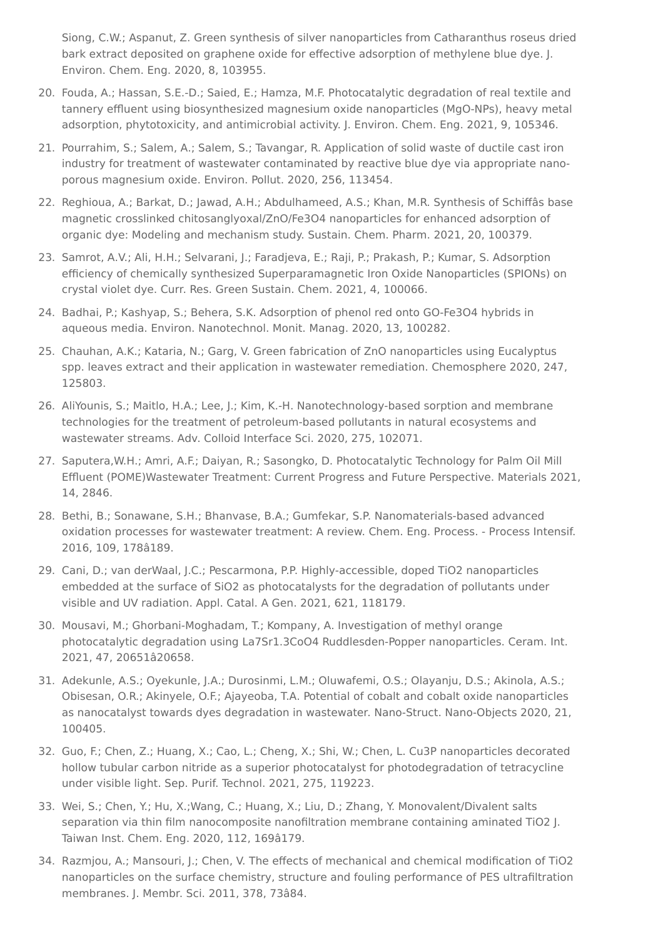<span id="page-12-0"></span>Siong, C.W.; Aspanut, Z. Green synthesis of silver nanoparticles from Catharanthus roseus dried bark extract deposited on graphene oxide for effective adsorption of methylene blue dye. J. Environ. Chem. Eng. 2020, 8, 103955.

- <span id="page-12-1"></span>20. Fouda, A.; Hassan, S.E.-D.; Saied, E.; Hamza, M.F. Photocatalytic degradation of real textile and tannery effluent using biosynthesized magnesium oxide nanoparticles (MgO-NPs), heavy metal adsorption, phytotoxicity, and antimicrobial activity. J. Environ. Chem. Eng. 2021, 9, 105346.
- <span id="page-12-2"></span>21. Pourrahim, S.; Salem, A.; Salem, S.; Tavangar, R. Application of solid waste of ductile cast iron industry for treatment of wastewater contaminated by reactive blue dye via appropriate nanoporous magnesium oxide. Environ. Pollut. 2020, 256, 113454.
- <span id="page-12-3"></span>22. Reghioua, A.; Barkat, D.; Jawad, A.H.; Abdulhameed, A.S.; Khan, M.R. Synthesis of Schiffâs base magnetic crosslinked chitosanglyoxal/ZnO/Fe3O4 nanoparticles for enhanced adsorption of organic dye: Modeling and mechanism study. Sustain. Chem. Pharm. 2021, 20, 100379.
- <span id="page-12-4"></span>23. Samrot, A.V.; Ali, H.H.; Selvarani, J.; Faradjeva, E.; Raji, P.; Prakash, P.; Kumar, S. Adsorption efficiency of chemically synthesized Superparamagnetic Iron Oxide Nanoparticles (SPIONs) on crystal violet dye. Curr. Res. Green Sustain. Chem. 2021, 4, 100066.
- <span id="page-12-5"></span>24. Badhai, P.; Kashyap, S.; Behera, S.K. Adsorption of phenol red onto GO-Fe3O4 hybrids in aqueous media. Environ. Nanotechnol. Monit. Manag. 2020, 13, 100282.
- <span id="page-12-6"></span>25. Chauhan, A.K.; Kataria, N.; Garg, V. Green fabrication of ZnO nanoparticles using Eucalyptus spp. leaves extract and their application in wastewater remediation. Chemosphere 2020, 247, 125803.
- <span id="page-12-7"></span>26. AliYounis, S.; Maitlo, H.A.; Lee, J.; Kim, K.-H. Nanotechnology-based sorption and membrane technologies for the treatment of petroleum-based pollutants in natural ecosystems and wastewater streams. Adv. Colloid Interface Sci. 2020, 275, 102071.
- <span id="page-12-8"></span>27. Saputera,W.H.; Amri, A.F.; Daiyan, R.; Sasongko, D. Photocatalytic Technology for Palm Oil Mill Effluent (POME)Wastewater Treatment: Current Progress and Future Perspective. Materials 2021, 14, 2846.
- <span id="page-12-9"></span>28. Bethi, B.; Sonawane, S.H.; Bhanvase, B.A.; Gumfekar, S.P. Nanomaterials-based advanced oxidation processes for wastewater treatment: A review. Chem. Eng. Process. - Process Intensif. 2016, 109, 178â189.
- <span id="page-12-10"></span>29. Cani, D.; van derWaal, J.C.; Pescarmona, P.P. Highly-accessible, doped TiO2 nanoparticles embedded at the surface of SiO2 as photocatalysts for the degradation of pollutants under visible and UV radiation. Appl. Catal. A Gen. 2021, 621, 118179.
- <span id="page-12-11"></span>30. Mousavi, M.; Ghorbani-Moghadam, T.; Kompany, A. Investigation of methyl orange photocatalytic degradation using La7Sr1.3CoO4 Ruddlesden-Popper nanoparticles. Ceram. Int. 2021, 47, 20651â20658.
- <span id="page-12-12"></span>31. Adekunle, A.S.; Oyekunle, J.A.; Durosinmi, L.M.; Oluwafemi, O.S.; Olayanju, D.S.; Akinola, A.S.; Obisesan, O.R.; Akinyele, O.F.; Ajayeoba, T.A. Potential of cobalt and cobalt oxide nanoparticles as nanocatalyst towards dyes degradation in wastewater. Nano-Struct. Nano-Objects 2020, 21, 100405.
- <span id="page-12-13"></span>32. Guo, F.; Chen, Z.; Huang, X.; Cao, L.; Cheng, X.; Shi, W.; Chen, L. Cu3P nanoparticles decorated hollow tubular carbon nitride as a superior photocatalyst for photodegradation of tetracycline under visible light. Sep. Purif. Technol. 2021, 275, 119223.
- <span id="page-12-14"></span>33. Wei, S.; Chen, Y.; Hu, X.;Wang, C.; Huang, X.; Liu, D.; Zhang, Y. Monovalent/Divalent salts separation via thin film nanocomposite nanofiltration membrane containing aminated TiO2 J. Taiwan Inst. Chem. Eng. 2020, 112, 169â179.
- <span id="page-12-15"></span>34. Razmjou, A.; Mansouri, J.; Chen, V. The effects of mechanical and chemical modification of TiO2 nanoparticles on the surface chemistry, structure and fouling performance of PES ultrafiltration membranes. J. Membr. Sci. 2011, 378, 73â84.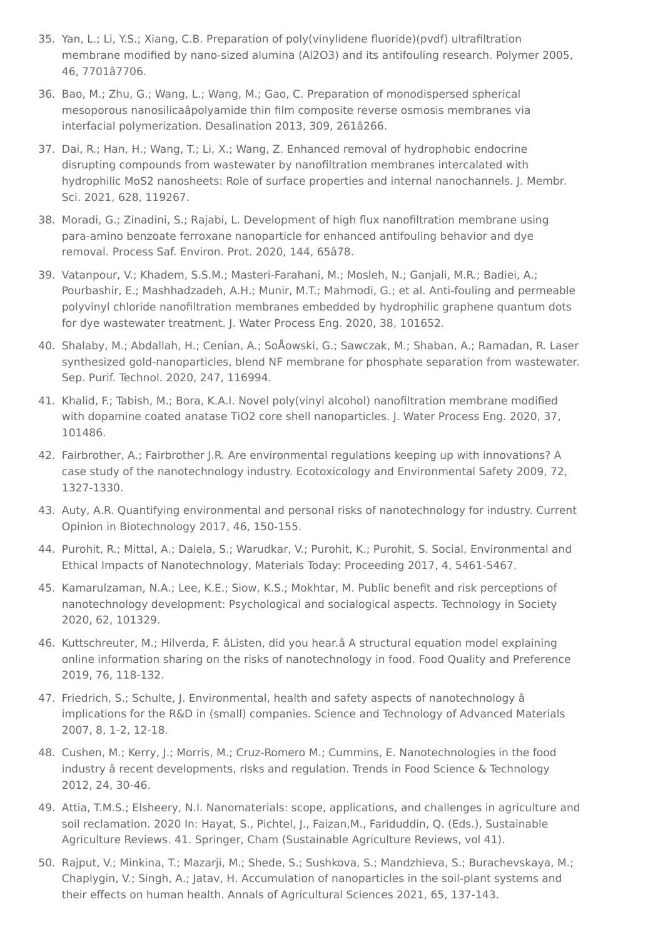- <span id="page-13-0"></span>35. Yan, L.; Li, Y.S.; Xiang, C.B. Preparation of poly(vinylidene fluoride)(pvdf) ultrafiltration membrane modified by nano-sized alumina (Al2O3) and its antifouling research. Polymer 2005, 46, 7701â7706.
- <span id="page-13-1"></span>36. Bao, M.; Zhu, G.; Wang, L.; Wang, M.; Gao, C. Preparation of monodispersed spherical mesoporous nanosilicaâpolyamide thin film composite reverse osmosis membranes via interfacial polymerization. Desalination 2013, 309, 261â266.
- <span id="page-13-2"></span>37. Dai, R.; Han, H.; Wang, T.; Li, X.; Wang, Z. Enhanced removal of hydrophobic endocrine disrupting compounds from wastewater by nanofiltration membranes intercalated with hydrophilic MoS2 nanosheets: Role of surface properties and internal nanochannels. J. Membr. Sci. 2021, 628, 119267.
- <span id="page-13-3"></span>38. Moradi, G.; Zinadini, S.; Rajabi, L. Development of high flux nanofiltration membrane using para-amino benzoate ferroxane nanoparticle for enhanced antifouling behavior and dye removal. Process Saf. Environ. Prot. 2020, 144, 65â78.
- <span id="page-13-4"></span>39. Vatanpour, V.; Khadem, S.S.M.; Masteri-Farahani, M.; Mosleh, N.; Ganjali, M.R.; Badiei, A.; Pourbashir, E.; Mashhadzadeh, A.H.; Munir, M.T.; Mahmodi, G.; et al. Anti-fouling and permeable polyvinyl chloride nanofiltration membranes embedded by hydrophilic graphene quantum dots for dye wastewater treatment. J. Water Process Eng. 2020, 38, 101652.
- <span id="page-13-5"></span>40. Shalaby, M.; Abdallah, H.; Cenian, A.; SoÅowski, G.; Sawczak, M.; Shaban, A.; Ramadan, R. Laser synthesized gold-nanoparticles, blend NF membrane for phosphate separation from wastewater. Sep. Purif. Technol. 2020, 247, 116994.
- <span id="page-13-6"></span>41. Khalid, F.; Tabish, M.; Bora, K.A.I. Novel poly(vinyl alcohol) nanofiltration membrane modified with dopamine coated anatase TiO2 core shell nanoparticles. J. Water Process Eng. 2020, 37, 101486.
- <span id="page-13-7"></span>42. Fairbrother, A.; Fairbrother J.R. Are environmental regulations keeping up with innovations? A case study of the nanotechnology industry. Ecotoxicology and Environmental Safety 2009, 72, 1327-1330.
- <span id="page-13-8"></span>43. Auty, A.R. Quantifying environmental and personal risks of nanotechnology for industry. Current Opinion in Biotechnology 2017, 46, 150-155.
- <span id="page-13-9"></span>44. Purohit, R.; Mittal, A.; Dalela, S.; Warudkar, V.; Purohit, K.; Purohit, S. Social, Environmental and Ethical Impacts of Nanotechnology, Materials Today: Proceeding 2017, 4, 5461-5467.
- <span id="page-13-10"></span>45. Kamarulzaman, N.A.; Lee, K.E.; Siow, K.S.; Mokhtar, M. Public benefit and risk perceptions of nanotechnology development: Psychological and socialogical aspects. Technology in Society 2020, 62, 101329.
- <span id="page-13-11"></span>46. Kuttschreuter, M.; Hilverda, F. âListen, did you hear.â A structural equation model explaining online information sharing on the risks of nanotechnology in food. Food Quality and Preference 2019, 76, 118-132.
- <span id="page-13-12"></span>47. Friedrich, S.; Schulte, J. Environmental, health and safety aspects of nanotechnology â implications for the R&D in (small) companies. Science and Technology of Advanced Materials 2007, 8, 1-2, 12-18.
- <span id="page-13-13"></span>48. Cushen, M.; Kerry, J.; Morris, M.; Cruz-Romero M.; Cummins, E. Nanotechnologies in the food industry â recent developments, risks and regulation. Trends in Food Science & Technology 2012, 24, 30-46.
- <span id="page-13-14"></span>49. Attia, T.M.S.; Elsheery, N.I. Nanomaterials: scope, applications, and challenges in agriculture and soil reclamation. 2020 In: Hayat, S., Pichtel, J., Faizan,M., Fariduddin, Q. (Eds.), Sustainable Agriculture Reviews. 41. Springer, Cham (Sustainable Agriculture Reviews, vol 41).
- <span id="page-13-15"></span>50. Rajput, V.; Minkina, T.; Mazarji, M.; Shede, S.; Sushkova, S.; Mandzhieva, S.; Burachevskaya, M.; Chaplygin, V.; Singh, A.; Jatav, H. Accumulation of nanoparticles in the soil-plant systems and their effects on human health. Annals of Agricultural Sciences 2021, 65, 137-143.